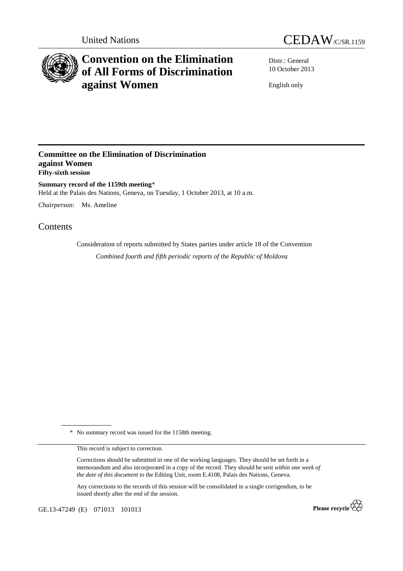



# **Convention on the Elimination of All Forms of Discrimination against Women**

Distr.: General 10 October 2013

English only

### **Committee on the Elimination of Discrimination against Women Fifty-sixth session**

**Summary record of the 1159th meeting**\* Held at the Palais des Nations, Geneva, on Tuesday, 1 October 2013, at 10 a.m.

*Chairperson*: Ms. Ameline

## Contents

Consideration of reports submitted by States parties under article 18 of the Convention *Combined fourth and fifth periodic reports of the Republic of Moldova* 

\* No summary record was issued for the 1158th meeting.

This record is subject to correction.

Corrections should be submitted in one of the working languages. They should be set forth in a memorandum and also incorporated in a copy of the record. They should be sent *within one week of the date of this document* to the Editing Unit, room E.4108, Palais des Nations, Geneva.

Any corrections to the records of this session will be consolidated in a single corrigendum, to be issued shortly after the end of the session.

GE.13-47249 (E) 071013 101013

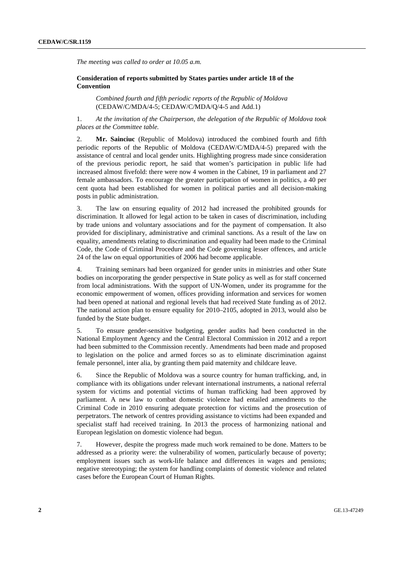*The meeting was called to order at 10.05 a.m.* 

#### **Consideration of reports submitted by States parties under article 18 of the Convention**

*Combined fourth and fifth periodic reports of the Republic of Moldova* (CEDAW/C/MDA/4-5; CEDAW/C/MDA/Q/4-5 and Add.1)

1. *At the invitation of the Chairperson, the delegation of the Republic of Moldova took places at the Committee table.* 

2. **Mr. Sainciuc** (Republic of Moldova) introduced the combined fourth and fifth periodic reports of the Republic of Moldova (CEDAW/C/MDA/4-5) prepared with the assistance of central and local gender units. Highlighting progress made since consideration of the previous periodic report, he said that women's participation in public life had increased almost fivefold: there were now 4 women in the Cabinet, 19 in parliament and 27 female ambassadors. To encourage the greater participation of women in politics, a 40 per cent quota had been established for women in political parties and all decision-making posts in public administration.

3. The law on ensuring equality of 2012 had increased the prohibited grounds for discrimination. It allowed for legal action to be taken in cases of discrimination, including by trade unions and voluntary associations and for the payment of compensation. It also provided for disciplinary, administrative and criminal sanctions. As a result of the law on equality, amendments relating to discrimination and equality had been made to the Criminal Code, the Code of Criminal Procedure and the Code governing lesser offences, and article 24 of the law on equal opportunities of 2006 had become applicable.

4. Training seminars had been organized for gender units in ministries and other State bodies on incorporating the gender perspective in State policy as well as for staff concerned from local administrations. With the support of UN-Women, under its programme for the economic empowerment of women, offices providing information and services for women had been opened at national and regional levels that had received State funding as of 2012. The national action plan to ensure equality for 2010–2105, adopted in 2013, would also be funded by the State budget.

5. To ensure gender-sensitive budgeting, gender audits had been conducted in the National Employment Agency and the Central Electoral Commission in 2012 and a report had been submitted to the Commission recently. Amendments had been made and proposed to legislation on the police and armed forces so as to eliminate discrimination against female personnel, inter alia, by granting them paid maternity and childcare leave.

6. Since the Republic of Moldova was a source country for human trafficking, and, in compliance with its obligations under relevant international instruments, a national referral system for victims and potential victims of human trafficking had been approved by parliament. A new law to combat domestic violence had entailed amendments to the Criminal Code in 2010 ensuring adequate protection for victims and the prosecution of perpetrators. The network of centres providing assistance to victims had been expanded and specialist staff had received training. In 2013 the process of harmonizing national and European legislation on domestic violence had begun.

7. However, despite the progress made much work remained to be done. Matters to be addressed as a priority were: the vulnerability of women, particularly because of poverty; employment issues such as work-life balance and differences in wages and pensions; negative stereotyping; the system for handling complaints of domestic violence and related cases before the European Court of Human Rights.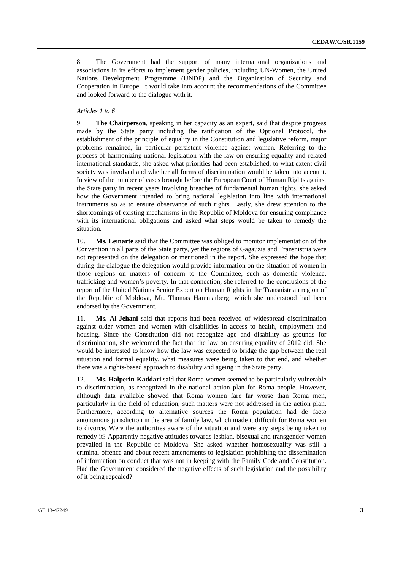8. The Government had the support of many international organizations and associations in its efforts to implement gender policies, including UN-Women, the United Nations Development Programme (UNDP) and the Organization of Security and Cooperation in Europe. It would take into account the recommendations of the Committee and looked forward to the dialogue with it.

#### *Articles 1 to 6*

9. **The Chairperson**, speaking in her capacity as an expert, said that despite progress made by the State party including the ratification of the Optional Protocol, the establishment of the principle of equality in the Constitution and legislative reform, major problems remained, in particular persistent violence against women. Referring to the process of harmonizing national legislation with the law on ensuring equality and related international standards, she asked what priorities had been established, to what extent civil society was involved and whether all forms of discrimination would be taken into account. In view of the number of cases brought before the European Court of Human Rights against the State party in recent years involving breaches of fundamental human rights, she asked how the Government intended to bring national legislation into line with international instruments so as to ensure observance of such rights. Lastly, she drew attention to the shortcomings of existing mechanisms in the Republic of Moldova for ensuring compliance with its international obligations and asked what steps would be taken to remedy the situation.

10. **Ms. Leinarte** said that the Committee was obliged to monitor implementation of the Convention in all parts of the State party, yet the regions of Gagauzia and Transnistria were not represented on the delegation or mentioned in the report. She expressed the hope that during the dialogue the delegation would provide information on the situation of women in those regions on matters of concern to the Committee, such as domestic violence, trafficking and women's poverty. In that connection, she referred to the conclusions of the report of the United Nations Senior Expert on Human Rights in the Transnistrian region of the Republic of Moldova, Mr. Thomas Hammarberg, which she understood had been endorsed by the Government.

11. **Ms. Al-Jehani** said that reports had been received of widespread discrimination against older women and women with disabilities in access to health, employment and housing. Since the Constitution did not recognize age and disability as grounds for discrimination, she welcomed the fact that the law on ensuring equality of 2012 did. She would be interested to know how the law was expected to bridge the gap between the real situation and formal equality, what measures were being taken to that end, and whether there was a rights-based approach to disability and ageing in the State party.

12. **Ms. Halperin-Kaddari** said that Roma women seemed to be particularly vulnerable to discrimination, as recognized in the national action plan for Roma people. However, although data available showed that Roma women fare far worse than Roma men, particularly in the field of education, such matters were not addressed in the action plan. Furthermore, according to alternative sources the Roma population had de facto autonomous jurisdiction in the area of family law, which made it difficult for Roma women to divorce. Were the authorities aware of the situation and were any steps being taken to remedy it? Apparently negative attitudes towards lesbian, bisexual and transgender women prevailed in the Republic of Moldova. She asked whether homosexuality was still a criminal offence and about recent amendments to legislation prohibiting the dissemination of information on conduct that was not in keeping with the Family Code and Constitution. Had the Government considered the negative effects of such legislation and the possibility of it being repealed?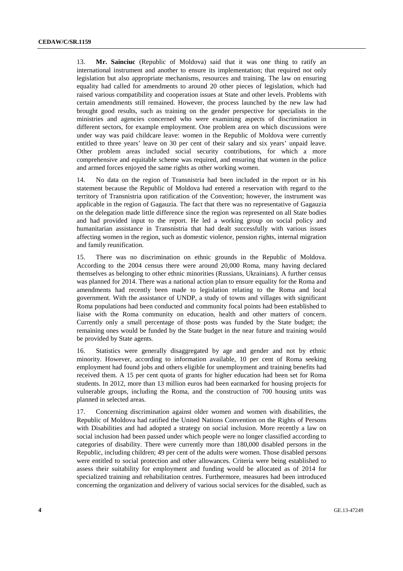13. **Mr. Sainciuc** (Republic of Moldova) said that it was one thing to ratify an international instrument and another to ensure its implementation; that required not only legislation but also appropriate mechanisms, resources and training. The law on ensuring equality had called for amendments to around 20 other pieces of legislation, which had raised various compatibility and cooperation issues at State and other levels. Problems with certain amendments still remained. However, the process launched by the new law had brought good results, such as training on the gender perspective for specialists in the ministries and agencies concerned who were examining aspects of discrimination in different sectors, for example employment. One problem area on which discussions were under way was paid childcare leave: women in the Republic of Moldova were currently entitled to three years' leave on 30 per cent of their salary and six years' unpaid leave. Other problem areas included social security contributions, for which a more comprehensive and equitable scheme was required, and ensuring that women in the police and armed forces enjoyed the same rights as other working women.

14. No data on the region of Transnistria had been included in the report or in his statement because the Republic of Moldova had entered a reservation with regard to the territory of Transnistria upon ratification of the Convention; however, the instrument was applicable in the region of Gagauzia. The fact that there was no representative of Gagauzia on the delegation made little difference since the region was represented on all State bodies and had provided input to the report. He led a working group on social policy and humanitarian assistance in Transnistria that had dealt successfully with various issues affecting women in the region, such as domestic violence, pension rights, internal migration and family reunification.

15. There was no discrimination on ethnic grounds in the Republic of Moldova. According to the 2004 census there were around 20,000 Roma, many having declared themselves as belonging to other ethnic minorities (Russians, Ukrainians). A further census was planned for 2014. There was a national action plan to ensure equality for the Roma and amendments had recently been made to legislation relating to the Roma and local government. With the assistance of UNDP, a study of towns and villages with significant Roma populations had been conducted and community focal points had been established to liaise with the Roma community on education, health and other matters of concern. Currently only a small percentage of those posts was funded by the State budget; the remaining ones would be funded by the State budget in the near future and training would be provided by State agents.

16. Statistics were generally disaggregated by age and gender and not by ethnic minority. However, according to information available, 10 per cent of Roma seeking employment had found jobs and others eligible for unemployment and training benefits had received them. A 15 per cent quota of grants for higher education had been set for Roma students. In 2012, more than 13 million euros had been earmarked for housing projects for vulnerable groups, including the Roma, and the construction of 700 housing units was planned in selected areas.

17. Concerning discrimination against older women and women with disabilities, the Republic of Moldova had ratified the United Nations Convention on the Rights of Persons with Disabilities and had adopted a strategy on social inclusion. More recently a law on social inclusion had been passed under which people were no longer classified according to categories of disability. There were currently more than 180,000 disabled persons in the Republic, including children; 49 per cent of the adults were women. Those disabled persons were entitled to social protection and other allowances. Criteria were being established to assess their suitability for employment and funding would be allocated as of 2014 for specialized training and rehabilitation centres. Furthermore, measures had been introduced concerning the organization and delivery of various social services for the disabled, such as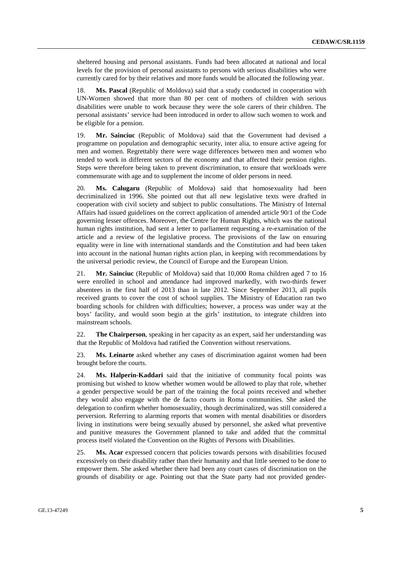sheltered housing and personal assistants. Funds had been allocated at national and local levels for the provision of personal assistants to persons with serious disabilities who were currently cared for by their relatives and more funds would be allocated the following year.

18. **Ms. Pascal** (Republic of Moldova) said that a study conducted in cooperation with UN-Women showed that more than 80 per cent of mothers of children with serious disabilities were unable to work because they were the sole carers of their children. The personal assistants' service had been introduced in order to allow such women to work and be eligible for a pension.

19. **Mr. Sainciuc** (Republic of Moldova) said that the Government had devised a programme on population and demographic security, inter alia, to ensure active ageing for men and women. Regrettably there were wage differences between men and women who tended to work in different sectors of the economy and that affected their pension rights. Steps were therefore being taken to prevent discrimination, to ensure that workloads were commensurate with age and to supplement the income of older persons in need.

20. **Ms. Calugaru** (Republic of Moldova) said that homosexuality had been decriminalized in 1996. She pointed out that all new legislative texts were drafted in cooperation with civil society and subject to public consultations. The Ministry of Internal Affairs had issued guidelines on the correct application of amended article 90/1 of the Code governing lesser offences. Moreover, the Centre for Human Rights, which was the national human rights institution, had sent a letter to parliament requesting a re-examination of the article and a review of the legislative process. The provisions of the law on ensuring equality were in line with international standards and the Constitution and had been taken into account in the national human rights action plan, in keeping with recommendations by the universal periodic review, the Council of Europe and the European Union.

21. **Mr. Sainciuc** (Republic of Moldova) said that 10,000 Roma children aged 7 to 16 were enrolled in school and attendance had improved markedly, with two-thirds fewer absentees in the first half of 2013 than in late 2012. Since September 2013, all pupils received grants to cover the cost of school supplies. The Ministry of Education ran two boarding schools for children with difficulties; however, a process was under way at the boys' facility, and would soon begin at the girls' institution, to integrate children into mainstream schools.

22. **The Chairperson**, speaking in her capacity as an expert, said her understanding was that the Republic of Moldova had ratified the Convention without reservations.

23. **Ms. Leinarte** asked whether any cases of discrimination against women had been brought before the courts.

24. **Ms. Halperin-Kaddari** said that the initiative of community focal points was promising but wished to know whether women would be allowed to play that role, whether a gender perspective would be part of the training the focal points received and whether they would also engage with the de facto courts in Roma communities. She asked the delegation to confirm whether homosexuality, though decriminalized, was still considered a perversion. Referring to alarming reports that women with mental disabilities or disorders living in institutions were being sexually abused by personnel, she asked what preventive and punitive measures the Government planned to take and added that the committal process itself violated the Convention on the Rights of Persons with Disabilities.

25. **Ms. Acar** expressed concern that policies towards persons with disabilities focused excessively on their disability rather than their humanity and that little seemed to be done to empower them. She asked whether there had been any court cases of discrimination on the grounds of disability or age. Pointing out that the State party had not provided gender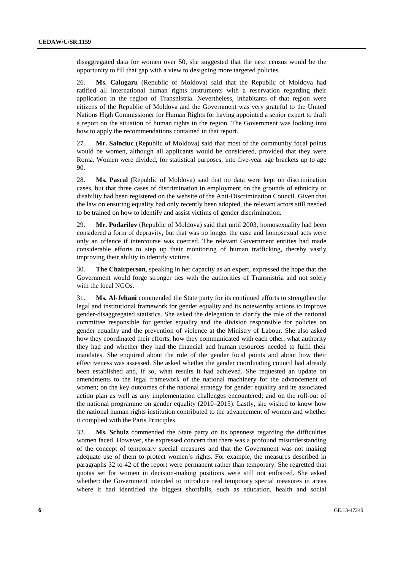disaggregated data for women over 50, she suggested that the next census would be the opportunity to fill that gap with a view to designing more targeted policies.

26. **Ms. Calugaru** (Republic of Moldova) said that the Republic of Moldova had ratified all international human rights instruments with a reservation regarding their application in the region of Transnistria. Nevertheless, inhabitants of that region were citizens of the Republic of Moldova and the Government was very grateful to the United Nations High Commissioner for Human Rights for having appointed a senior expert to draft a report on the situation of human rights in the region. The Government was looking into how to apply the recommendations contained in that report.

27. **Mr. Sainciuc** (Republic of Moldova) said that most of the community focal points would be women, although all applicants would be considered, provided that they were Roma. Women were divided, for statistical purposes, into five-year age brackets up to age 90.

28. **Ms. Pascal** (Republic of Moldova) said that no data were kept on discrimination cases, but that three cases of discrimination in employment on the grounds of ethnicity or disability had been registered on the website of the Anti-Discrimination Council. Given that the law on ensuring equality had only recently been adopted, the relevant actors still needed to be trained on how to identify and assist victims of gender discrimination.

29. **Mr. Podarilov** (Republic of Moldova) said that until 2003, homosexuality had been considered a form of depravity, but that was no longer the case and homosexual acts were only an offence if intercourse was coerced. The relevant Government entities had made considerable efforts to step up their monitoring of human trafficking, thereby vastly improving their ability to identify victims.

30. **The Chairperson**, speaking in her capacity as an expert, expressed the hope that the Government would forge stronger ties with the authorities of Transnistria and not solely with the local NGOs.

31. **Ms. Al-Jehani** commended the State party for its continued efforts to strengthen the legal and institutional framework for gender equality and its noteworthy actions to improve gender-disaggregated statistics. She asked the delegation to clarify the role of the national committee responsible for gender equality and the division responsible for policies on gender equality and the prevention of violence at the Ministry of Labour. She also asked how they coordinated their efforts, how they communicated with each other, what authority they had and whether they had the financial and human resources needed to fulfil their mandates. She enquired about the role of the gender focal points and about how their effectiveness was assessed. She asked whether the gender coordinating council had already been established and, if so, what results it had achieved. She requested an update on amendments to the legal framework of the national machinery for the advancement of women; on the key outcomes of the national strategy for gender equality and its associated action plan as well as any implementation challenges encountered; and on the roll-out of the national programme on gender equality (2010–2015). Lastly, she wished to know how the national human rights institution contributed to the advancement of women and whether it complied with the Paris Principles.

32. **Ms. Schulz** commended the State party on its openness regarding the difficulties women faced. However, she expressed concern that there was a profound misunderstanding of the concept of temporary special measures and that the Government was not making adequate use of them to protect women's rights. For example, the measures described in paragraphs 32 to 42 of the report were permanent rather than temporary. She regretted that quotas set for women in decision-making positions were still not enforced. She asked whether: the Government intended to introduce real temporary special measures in areas where it had identified the biggest shortfalls, such as education, health and social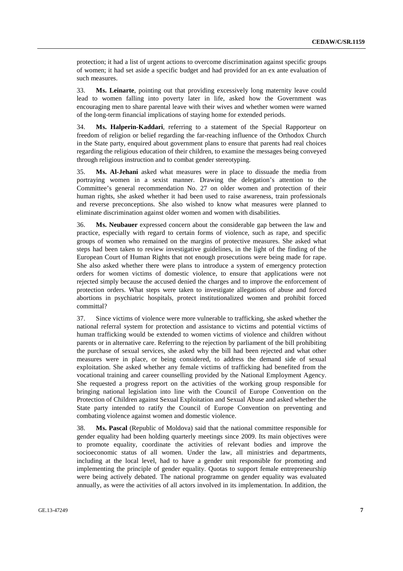protection; it had a list of urgent actions to overcome discrimination against specific groups of women; it had set aside a specific budget and had provided for an ex ante evaluation of such measures.

33. **Ms. Leinarte**, pointing out that providing excessively long maternity leave could lead to women falling into poverty later in life, asked how the Government was encouraging men to share parental leave with their wives and whether women were warned of the long-term financial implications of staying home for extended periods.

34. **Ms. Halperin-Kaddari**, referring to a statement of the Special Rapporteur on freedom of religion or belief regarding the far-reaching influence of the Orthodox Church in the State party, enquired about government plans to ensure that parents had real choices regarding the religious education of their children, to examine the messages being conveyed through religious instruction and to combat gender stereotyping.

35. **Ms. Al-Jehani** asked what measures were in place to dissuade the media from portraying women in a sexist manner. Drawing the delegation's attention to the Committee's general recommendation No. 27 on older women and protection of their human rights, she asked whether it had been used to raise awareness, train professionals and reverse preconceptions. She also wished to know what measures were planned to eliminate discrimination against older women and women with disabilities.

36. **Ms. Neubauer** expressed concern about the considerable gap between the law and practice, especially with regard to certain forms of violence, such as rape, and specific groups of women who remained on the margins of protective measures. She asked what steps had been taken to review investigative guidelines, in the light of the finding of the European Court of Human Rights that not enough prosecutions were being made for rape. She also asked whether there were plans to introduce a system of emergency protection orders for women victims of domestic violence, to ensure that applications were not rejected simply because the accused denied the charges and to improve the enforcement of protection orders. What steps were taken to investigate allegations of abuse and forced abortions in psychiatric hospitals, protect institutionalized women and prohibit forced committal?

37. Since victims of violence were more vulnerable to trafficking, she asked whether the national referral system for protection and assistance to victims and potential victims of human trafficking would be extended to women victims of violence and children without parents or in alternative care. Referring to the rejection by parliament of the bill prohibiting the purchase of sexual services, she asked why the bill had been rejected and what other measures were in place, or being considered, to address the demand side of sexual exploitation. She asked whether any female victims of trafficking had benefited from the vocational training and career counselling provided by the National Employment Agency. She requested a progress report on the activities of the working group responsible for bringing national legislation into line with the Council of Europe Convention on the Protection of Children against Sexual Exploitation and Sexual Abuse and asked whether the State party intended to ratify the Council of Europe Convention on preventing and combating violence against women and domestic violence.

38. **Ms. Pascal** (Republic of Moldova) said that the national committee responsible for gender equality had been holding quarterly meetings since 2009. Its main objectives were to promote equality, coordinate the activities of relevant bodies and improve the socioeconomic status of all women. Under the law, all ministries and departments, including at the local level, had to have a gender unit responsible for promoting and implementing the principle of gender equality. Quotas to support female entrepreneurship were being actively debated. The national programme on gender equality was evaluated annually, as were the activities of all actors involved in its implementation. In addition, the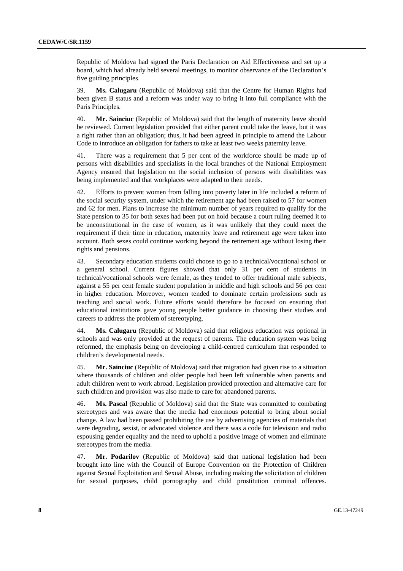Republic of Moldova had signed the Paris Declaration on Aid Effectiveness and set up a board, which had already held several meetings, to monitor observance of the Declaration's five guiding principles.

39. **Ms. Calugaru** (Republic of Moldova) said that the Centre for Human Rights had been given B status and a reform was under way to bring it into full compliance with the Paris Principles.

40. **Mr. Sainciuc** (Republic of Moldova) said that the length of maternity leave should be reviewed. Current legislation provided that either parent could take the leave, but it was a right rather than an obligation; thus, it had been agreed in principle to amend the Labour Code to introduce an obligation for fathers to take at least two weeks paternity leave.

41. There was a requirement that 5 per cent of the workforce should be made up of persons with disabilities and specialists in the local branches of the National Employment Agency ensured that legislation on the social inclusion of persons with disabilities was being implemented and that workplaces were adapted to their needs.

42. Efforts to prevent women from falling into poverty later in life included a reform of the social security system, under which the retirement age had been raised to 57 for women and 62 for men. Plans to increase the minimum number of years required to qualify for the State pension to 35 for both sexes had been put on hold because a court ruling deemed it to be unconstitutional in the case of women, as it was unlikely that they could meet the requirement if their time in education, maternity leave and retirement age were taken into account. Both sexes could continue working beyond the retirement age without losing their rights and pensions.

43. Secondary education students could choose to go to a technical/vocational school or a general school. Current figures showed that only 31 per cent of students in technical/vocational schools were female, as they tended to offer traditional male subjects, against a 55 per cent female student population in middle and high schools and 56 per cent in higher education. Moreover, women tended to dominate certain professions such as teaching and social work. Future efforts would therefore be focused on ensuring that educational institutions gave young people better guidance in choosing their studies and careers to address the problem of stereotyping.

44. **Ms. Calugaru** (Republic of Moldova) said that religious education was optional in schools and was only provided at the request of parents. The education system was being reformed, the emphasis being on developing a child-centred curriculum that responded to children's developmental needs.

45. **Mr. Sainciuc** (Republic of Moldova) said that migration had given rise to a situation where thousands of children and older people had been left vulnerable when parents and adult children went to work abroad. Legislation provided protection and alternative care for such children and provision was also made to care for abandoned parents.

46. **Ms. Pascal** (Republic of Moldova) said that the State was committed to combating stereotypes and was aware that the media had enormous potential to bring about social change. A law had been passed prohibiting the use by advertising agencies of materials that were degrading, sexist, or advocated violence and there was a code for television and radio espousing gender equality and the need to uphold a positive image of women and eliminate stereotypes from the media.

47. **Mr. Podarilov** (Republic of Moldova) said that national legislation had been brought into line with the Council of Europe Convention on the Protection of Children against Sexual Exploitation and Sexual Abuse, including making the solicitation of children for sexual purposes, child pornography and child prostitution criminal offences.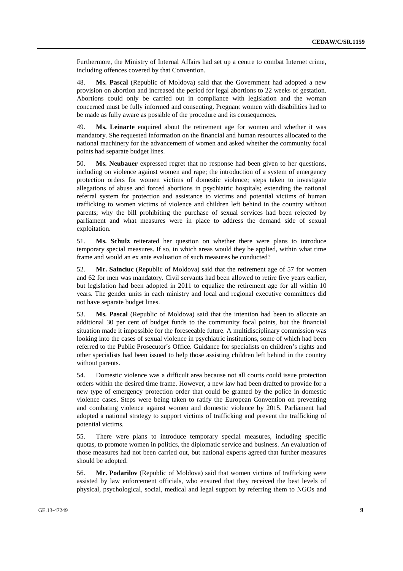Furthermore, the Ministry of Internal Affairs had set up a centre to combat Internet crime, including offences covered by that Convention.

48. **Ms. Pascal** (Republic of Moldova) said that the Government had adopted a new provision on abortion and increased the period for legal abortions to 22 weeks of gestation. Abortions could only be carried out in compliance with legislation and the woman concerned must be fully informed and consenting. Pregnant women with disabilities had to be made as fully aware as possible of the procedure and its consequences.

49. **Ms. Leinarte** enquired about the retirement age for women and whether it was mandatory. She requested information on the financial and human resources allocated to the national machinery for the advancement of women and asked whether the community focal points had separate budget lines.

50. **Ms. Neubauer** expressed regret that no response had been given to her questions, including on violence against women and rape; the introduction of a system of emergency protection orders for women victims of domestic violence; steps taken to investigate allegations of abuse and forced abortions in psychiatric hospitals; extending the national referral system for protection and assistance to victims and potential victims of human trafficking to women victims of violence and children left behind in the country without parents; why the bill prohibiting the purchase of sexual services had been rejected by parliament and what measures were in place to address the demand side of sexual exploitation.

51. **Ms. Schulz** reiterated her question on whether there were plans to introduce temporary special measures. If so, in which areas would they be applied, within what time frame and would an ex ante evaluation of such measures be conducted?

52. **Mr. Sainciuc** (Republic of Moldova) said that the retirement age of 57 for women and 62 for men was mandatory. Civil servants had been allowed to retire five years earlier, but legislation had been adopted in 2011 to equalize the retirement age for all within 10 years. The gender units in each ministry and local and regional executive committees did not have separate budget lines.

53. **Ms. Pascal** (Republic of Moldova) said that the intention had been to allocate an additional 30 per cent of budget funds to the community focal points, but the financial situation made it impossible for the foreseeable future. A multidisciplinary commission was looking into the cases of sexual violence in psychiatric institutions, some of which had been referred to the Public Prosecutor's Office. Guidance for specialists on children's rights and other specialists had been issued to help those assisting children left behind in the country without parents.

54. Domestic violence was a difficult area because not all courts could issue protection orders within the desired time frame. However, a new law had been drafted to provide for a new type of emergency protection order that could be granted by the police in domestic violence cases. Steps were being taken to ratify the European Convention on preventing and combating violence against women and domestic violence by 2015. Parliament had adopted a national strategy to support victims of trafficking and prevent the trafficking of potential victims.

55. There were plans to introduce temporary special measures, including specific quotas, to promote women in politics, the diplomatic service and business. An evaluation of those measures had not been carried out, but national experts agreed that further measures should be adopted.

56. **Mr. Podarilov** (Republic of Moldova) said that women victims of trafficking were assisted by law enforcement officials, who ensured that they received the best levels of physical, psychological, social, medical and legal support by referring them to NGOs and